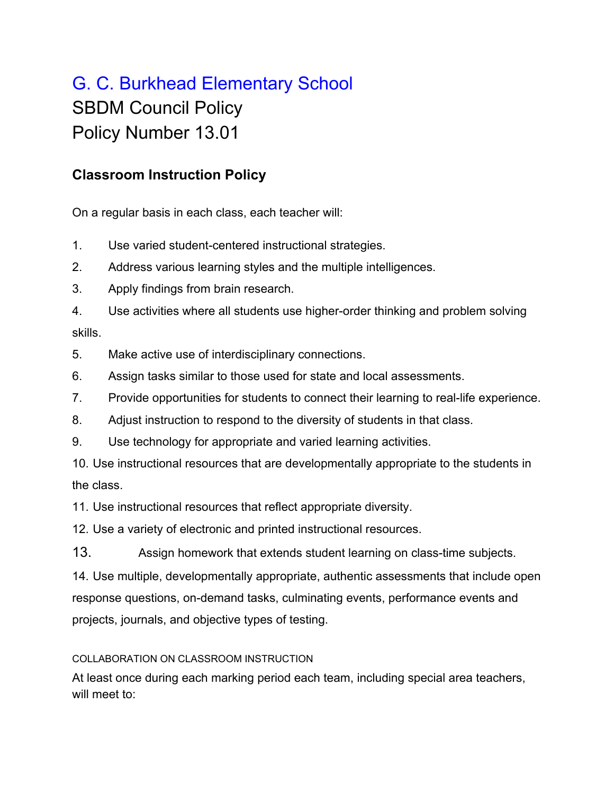## G. C. Burkhead Elementary School SBDM Council Policy Policy Number 13.01

## **Classroom Instruction Policy**

On a regular basis in each class, each teacher will:

- 1. Use varied student-centered instructional strategies.
- 2. Address various learning styles and the multiple intelligences.
- 3. Apply findings from brain research.
- 4. Use activities where all students use higher-order thinking and problem solving skills.
- 5. Make active use of interdisciplinary connections.
- 6. Assign tasks similar to those used for state and local assessments.
- 7. Provide opportunities for students to connect their learning to real-life experience.
- 8. Adjust instruction to respond to the diversity of students in that class.
- 9. Use technology for appropriate and varied learning activities.
- 10. Use instructional resources that are developmentally appropriate to the students in the class.

11. Use instructional resources that reflect appropriate diversity.

12. Use a variety of electronic and printed instructional resources.

13. Assign homework that extends student learning on class-time subjects.

14. Use multiple, developmentally appropriate, authentic assessments that include open response questions, on-demand tasks, culminating events, performance events and projects, journals, and objective types of testing.

## COLLABORATION ON CLASSROOM INSTRUCTION

At least once during each marking period each team, including special area teachers, will meet to: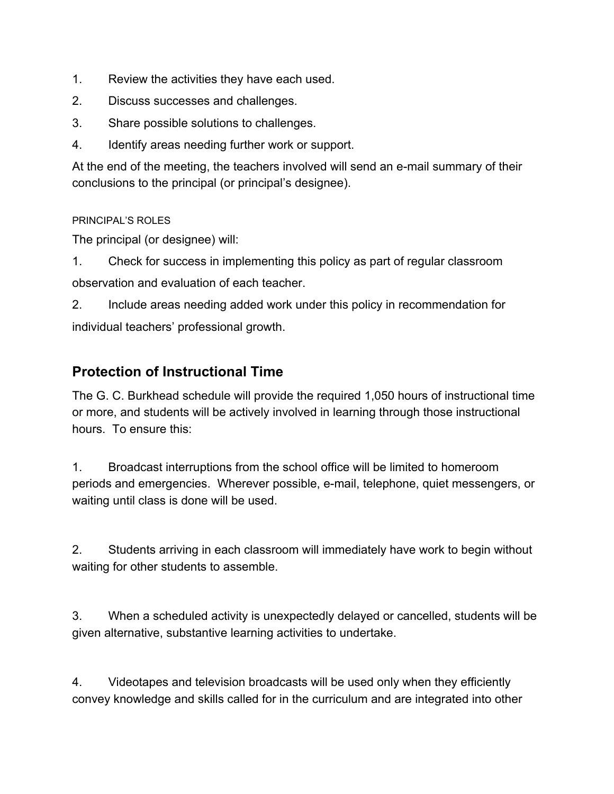- 1. Review the activities they have each used.
- 2. Discuss successes and challenges.
- 3. Share possible solutions to challenges.
- 4. Identify areas needing further work or support.

At the end of the meeting, the teachers involved will send an e-mail summary of their conclusions to the principal (or principal's designee).

PRINCIPAL'S ROLES

The principal (or designee) will:

1. Check for success in implementing this policy as part of regular classroom observation and evaluation of each teacher.

2. Include areas needing added work under this policy in recommendation for individual teachers' professional growth.

## **Protection of Instructional Time**

The G. C. Burkhead schedule will provide the required 1,050 hours of instructional time or more, and students will be actively involved in learning through those instructional hours. To ensure this:

1. Broadcast interruptions from the school office will be limited to homeroom periods and emergencies. Wherever possible, e-mail, telephone, quiet messengers, or waiting until class is done will be used.

2. Students arriving in each classroom will immediately have work to begin without waiting for other students to assemble.

3. When a scheduled activity is unexpectedly delayed or cancelled, students will be given alternative, substantive learning activities to undertake.

4. Videotapes and television broadcasts will be used only when they efficiently convey knowledge and skills called for in the curriculum and are integrated into other